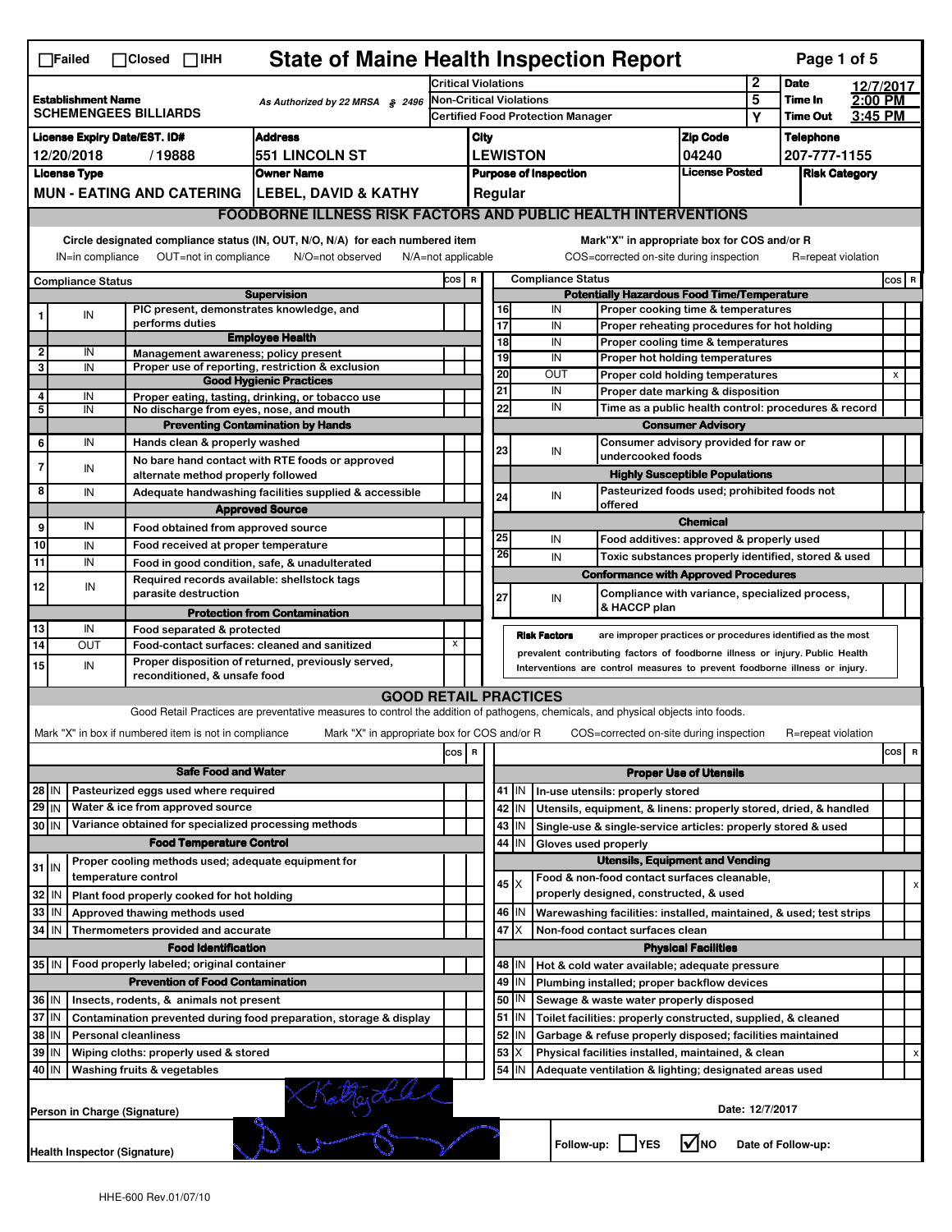| <b>State of Maine Health Inspection Report</b><br>Page 1 of 5<br>$\Box$ Failed<br>$\Box$ Closed $\Box$ IHH |                                                                                                                                                                       |                                                       |                                                                                                                                   |                                          |                                                       |                                                                   |                                                      |                                                                                                                                                            |                   |                                                                                        |                 |                    |         |                |   |
|------------------------------------------------------------------------------------------------------------|-----------------------------------------------------------------------------------------------------------------------------------------------------------------------|-------------------------------------------------------|-----------------------------------------------------------------------------------------------------------------------------------|------------------------------------------|-------------------------------------------------------|-------------------------------------------------------------------|------------------------------------------------------|------------------------------------------------------------------------------------------------------------------------------------------------------------|-------------------|----------------------------------------------------------------------------------------|-----------------|--------------------|---------|----------------|---|
|                                                                                                            |                                                                                                                                                                       |                                                       | <b>Critical Violations</b>                                                                                                        |                                          |                                                       |                                                                   |                                                      | $\mathbf{2}$                                                                                                                                               | <b>Date</b>       | 12/7/2017                                                                              |                 |                    |         |                |   |
| <b>Establishment Name</b><br>As Authorized by 22 MRSA § 2496                                               |                                                                                                                                                                       |                                                       | Non-Critical Violations                                                                                                           |                                          |                                                       |                                                                   |                                                      | 5                                                                                                                                                          | Time In           | 2:00 PM                                                                                |                 |                    |         |                |   |
| <b>SCHEMENGEES BILLIARDS</b>                                                                               |                                                                                                                                                                       |                                                       |                                                                                                                                   | <b>Certified Food Protection Manager</b> |                                                       |                                                                   |                                                      |                                                                                                                                                            |                   | Υ                                                                                      | <b>Time Out</b> | 3:45 PM            |         |                |   |
| <b>Address</b><br><b>License Expiry Date/EST. ID#</b>                                                      |                                                                                                                                                                       |                                                       |                                                                                                                                   |                                          | City                                                  |                                                                   |                                                      |                                                                                                                                                            |                   | <b>Zip Code</b>                                                                        |                 | <b>Telephone</b>   |         |                |   |
| 551 LINCOLN ST<br>12/20/2018<br>/19888                                                                     |                                                                                                                                                                       |                                                       |                                                                                                                                   |                                          |                                                       | <b>LEWISTON</b>                                                   |                                                      |                                                                                                                                                            | 04240             |                                                                                        | 207-777-1155    |                    |         |                |   |
|                                                                                                            | <b>License Type</b>                                                                                                                                                   |                                                       | <b>Owner Name</b>                                                                                                                 |                                          | <b>License Posted</b><br><b>Purpose of Inspection</b> |                                                                   |                                                      |                                                                                                                                                            |                   | <b>Risk Category</b>                                                                   |                 |                    |         |                |   |
|                                                                                                            |                                                                                                                                                                       |                                                       | MUN - EATING AND CATERING   LEBEL, DAVID & KATHY                                                                                  |                                          | Regular                                               |                                                                   |                                                      |                                                                                                                                                            |                   |                                                                                        |                 |                    |         |                |   |
|                                                                                                            |                                                                                                                                                                       |                                                       | <b>FOODBORNE ILLNESS RISK FACTORS AND PUBLIC HEALTH INTERVENTIONS</b>                                                             |                                          |                                                       |                                                                   |                                                      |                                                                                                                                                            |                   |                                                                                        |                 |                    |         |                |   |
|                                                                                                            | Circle designated compliance status (IN, OUT, N/O, N/A) for each numbered item<br>OUT=not in compliance<br>IN=in compliance<br>N/O=not observed<br>N/A=not applicable |                                                       |                                                                                                                                   |                                          |                                                       |                                                                   |                                                      |                                                                                                                                                            |                   | Mark"X" in appropriate box for COS and/or R<br>COS=corrected on-site during inspection |                 | R=repeat violation |         |                |   |
|                                                                                                            |                                                                                                                                                                       |                                                       | COS R                                                                                                                             |                                          |                                                       |                                                                   | <b>Compliance Status</b>                             |                                                                                                                                                            |                   |                                                                                        |                 |                    | $cos$ R |                |   |
| <b>Compliance Status</b><br><b>Supervision</b>                                                             |                                                                                                                                                                       |                                                       |                                                                                                                                   |                                          | <b>Potentially Hazardous Food Time/Temperature</b>    |                                                                   |                                                      |                                                                                                                                                            |                   |                                                                                        |                 |                    |         |                |   |
|                                                                                                            | IN                                                                                                                                                                    | PIC present, demonstrates knowledge, and              |                                                                                                                                   |                                          |                                                       | 16                                                                |                                                      | IN                                                                                                                                                         |                   | Proper cooking time & temperatures                                                     |                 |                    |         |                |   |
|                                                                                                            |                                                                                                                                                                       | performs duties                                       |                                                                                                                                   |                                          |                                                       | 17                                                                |                                                      | IN                                                                                                                                                         |                   | Proper reheating procedures for hot holding                                            |                 |                    |         |                |   |
| 2                                                                                                          | IN                                                                                                                                                                    | Management awareness; policy present                  | <b>Employee Health</b>                                                                                                            |                                          |                                                       | $\overline{18}$                                                   |                                                      | IN                                                                                                                                                         |                   | Proper cooling time & temperatures                                                     |                 |                    |         |                |   |
| 3                                                                                                          | IN                                                                                                                                                                    |                                                       | Proper use of reporting, restriction & exclusion                                                                                  |                                          |                                                       | 19                                                                |                                                      | IN                                                                                                                                                         |                   | Proper hot holding temperatures                                                        |                 |                    |         |                |   |
|                                                                                                            |                                                                                                                                                                       |                                                       | <b>Good Hygienic Practices</b>                                                                                                    |                                          |                                                       | 20                                                                |                                                      | OUT                                                                                                                                                        |                   | Proper cold holding temperatures                                                       |                 |                    |         | $\pmb{\times}$ |   |
| 4                                                                                                          | IN                                                                                                                                                                    |                                                       | Proper eating, tasting, drinking, or tobacco use                                                                                  |                                          |                                                       | 21<br>22                                                          |                                                      | IN<br>IN                                                                                                                                                   |                   | Proper date marking & disposition                                                      |                 |                    |         |                |   |
| 5                                                                                                          | IN                                                                                                                                                                    | No discharge from eyes, nose, and mouth               |                                                                                                                                   |                                          |                                                       |                                                                   | Time as a public health control: procedures & record |                                                                                                                                                            |                   |                                                                                        |                 |                    |         |                |   |
| 6                                                                                                          | IN                                                                                                                                                                    | Hands clean & properly washed                         | <b>Preventing Contamination by Hands</b>                                                                                          |                                          |                                                       | <b>Consumer Advisory</b><br>Consumer advisory provided for raw or |                                                      |                                                                                                                                                            |                   |                                                                                        |                 |                    |         |                |   |
|                                                                                                            |                                                                                                                                                                       |                                                       | No bare hand contact with RTE foods or approved                                                                                   |                                          |                                                       | 23                                                                |                                                      | IN                                                                                                                                                         | undercooked foods |                                                                                        |                 |                    |         |                |   |
| $\overline{7}$                                                                                             | IN                                                                                                                                                                    | alternate method properly followed                    |                                                                                                                                   |                                          |                                                       |                                                                   |                                                      |                                                                                                                                                            |                   | <b>Highly Susceptible Populations</b>                                                  |                 |                    |         |                |   |
| 8                                                                                                          | IN                                                                                                                                                                    |                                                       | Adequate handwashing facilities supplied & accessible                                                                             |                                          |                                                       |                                                                   |                                                      |                                                                                                                                                            |                   | Pasteurized foods used; prohibited foods not                                           |                 |                    |         |                |   |
|                                                                                                            |                                                                                                                                                                       |                                                       | <b>Approved Source</b>                                                                                                            |                                          |                                                       | 24                                                                |                                                      | IN<br>offered                                                                                                                                              |                   |                                                                                        |                 |                    |         |                |   |
| 9                                                                                                          | IN                                                                                                                                                                    | Food obtained from approved source                    |                                                                                                                                   |                                          |                                                       |                                                                   |                                                      |                                                                                                                                                            |                   | <b>Chemical</b>                                                                        |                 |                    |         |                |   |
| 10                                                                                                         | IN                                                                                                                                                                    | Food received at proper temperature                   |                                                                                                                                   |                                          |                                                       | 25                                                                |                                                      | IN                                                                                                                                                         |                   | Food additives: approved & properly used                                               |                 |                    |         |                |   |
| 11                                                                                                         | IN                                                                                                                                                                    |                                                       | Food in good condition, safe, & unadulterated                                                                                     |                                          |                                                       | 26                                                                |                                                      | IN                                                                                                                                                         |                   | Toxic substances properly identified, stored & used                                    |                 |                    |         |                |   |
|                                                                                                            |                                                                                                                                                                       | Required records available: shellstock tags           |                                                                                                                                   |                                          |                                                       |                                                                   |                                                      |                                                                                                                                                            |                   | <b>Conformance with Approved Procedures</b>                                            |                 |                    |         |                |   |
| 12                                                                                                         | IN                                                                                                                                                                    | parasite destruction                                  |                                                                                                                                   |                                          |                                                       | 27                                                                |                                                      |                                                                                                                                                            |                   | Compliance with variance, specialized process,                                         |                 |                    |         |                |   |
|                                                                                                            |                                                                                                                                                                       |                                                       | <b>Protection from Contamination</b>                                                                                              |                                          |                                                       |                                                                   |                                                      | IN                                                                                                                                                         | & HACCP plan      |                                                                                        |                 |                    |         |                |   |
| 13                                                                                                         | IN                                                                                                                                                                    | Food separated & protected                            |                                                                                                                                   |                                          |                                                       |                                                                   |                                                      |                                                                                                                                                            |                   |                                                                                        |                 |                    |         |                |   |
| 14                                                                                                         | OUT                                                                                                                                                                   |                                                       | Food-contact surfaces: cleaned and sanitized                                                                                      | X                                        |                                                       |                                                                   | <b>Risk Factors</b>                                  |                                                                                                                                                            |                   | are improper practices or procedures identified as the most                            |                 |                    |         |                |   |
| 15                                                                                                         | IN                                                                                                                                                                    |                                                       | Proper disposition of returned, previously served,                                                                                |                                          |                                                       |                                                                   |                                                      | prevalent contributing factors of foodborne illness or injury. Public Health<br>Interventions are control measures to prevent foodborne illness or injury. |                   |                                                                                        |                 |                    |         |                |   |
|                                                                                                            |                                                                                                                                                                       | reconditioned, & unsafe food                          |                                                                                                                                   |                                          |                                                       |                                                                   |                                                      |                                                                                                                                                            |                   |                                                                                        |                 |                    |         |                |   |
|                                                                                                            |                                                                                                                                                                       |                                                       | <b>GOOD RETAIL PRACTICES</b>                                                                                                      |                                          |                                                       |                                                                   |                                                      |                                                                                                                                                            |                   |                                                                                        |                 |                    |         |                |   |
|                                                                                                            |                                                                                                                                                                       |                                                       | Good Retail Practices are preventative measures to control the addition of pathogens, chemicals, and physical objects into foods. |                                          |                                                       |                                                                   |                                                      |                                                                                                                                                            |                   |                                                                                        |                 |                    |         |                |   |
|                                                                                                            |                                                                                                                                                                       | Mark "X" in box if numbered item is not in compliance | Mark "X" in appropriate box for COS and/or R                                                                                      |                                          |                                                       |                                                                   |                                                      |                                                                                                                                                            |                   | COS=corrected on-site during inspection                                                |                 | R=repeat violation |         |                |   |
|                                                                                                            |                                                                                                                                                                       |                                                       |                                                                                                                                   | $\cos$                                   | R                                                     |                                                                   |                                                      |                                                                                                                                                            |                   |                                                                                        |                 |                    |         | cos            | R |
|                                                                                                            |                                                                                                                                                                       | <b>Safe Food and Water</b>                            |                                                                                                                                   |                                          |                                                       |                                                                   |                                                      |                                                                                                                                                            |                   | <b>Proper Use of Utensils</b>                                                          |                 |                    |         |                |   |
| $28$ IN                                                                                                    |                                                                                                                                                                       | Pasteurized eggs used where required                  |                                                                                                                                   |                                          |                                                       |                                                                   | $41$ M                                               | In-use utensils: properly stored                                                                                                                           |                   |                                                                                        |                 |                    |         |                |   |
| $29$ IN                                                                                                    |                                                                                                                                                                       | Water & ice from approved source                      |                                                                                                                                   |                                          |                                                       |                                                                   | 42 IN                                                | Utensils, equipment, & linens: properly stored, dried, & handled                                                                                           |                   |                                                                                        |                 |                    |         |                |   |
| 30 IN                                                                                                      |                                                                                                                                                                       | Variance obtained for specialized processing methods  |                                                                                                                                   |                                          |                                                       |                                                                   | $43$ IN                                              | Single-use & single-service articles: properly stored & used                                                                                               |                   |                                                                                        |                 |                    |         |                |   |
|                                                                                                            |                                                                                                                                                                       | <b>Food Temperature Control</b>                       |                                                                                                                                   |                                          |                                                       | 44                                                                | IN                                                   | Gloves used properly                                                                                                                                       |                   |                                                                                        |                 |                    |         |                |   |
|                                                                                                            |                                                                                                                                                                       | Proper cooling methods used; adequate equipment for   |                                                                                                                                   |                                          |                                                       |                                                                   |                                                      |                                                                                                                                                            |                   | <b>Utensils, Equipment and Vending</b>                                                 |                 |                    |         |                |   |
| $31$ IN                                                                                                    |                                                                                                                                                                       | temperature control                                   |                                                                                                                                   |                                          |                                                       |                                                                   |                                                      | Food & non-food contact surfaces cleanable,                                                                                                                |                   |                                                                                        |                 |                    |         |                |   |
| 32                                                                                                         | IN                                                                                                                                                                    | Plant food properly cooked for hot holding            |                                                                                                                                   |                                          |                                                       |                                                                   | $45 \times$                                          | properly designed, constructed, & used                                                                                                                     |                   |                                                                                        |                 |                    |         |                |   |
| 33                                                                                                         | IN                                                                                                                                                                    | Approved thawing methods used                         |                                                                                                                                   |                                          |                                                       |                                                                   | 46   IN                                              | Warewashing facilities: installed, maintained, & used; test strips                                                                                         |                   |                                                                                        |                 |                    |         |                |   |
| 34                                                                                                         | IN                                                                                                                                                                    | Thermometers provided and accurate                    |                                                                                                                                   |                                          |                                                       |                                                                   | $47$ $\times$                                        | Non-food contact surfaces clean                                                                                                                            |                   |                                                                                        |                 |                    |         |                |   |
|                                                                                                            |                                                                                                                                                                       | <b>Food Identification</b>                            |                                                                                                                                   |                                          |                                                       |                                                                   |                                                      |                                                                                                                                                            |                   | <b>Physical Facilities</b>                                                             |                 |                    |         |                |   |
| 35 IN                                                                                                      |                                                                                                                                                                       | Food properly labeled; original container             |                                                                                                                                   |                                          |                                                       |                                                                   | 48   IN                                              | Hot & cold water available; adequate pressure                                                                                                              |                   |                                                                                        |                 |                    |         |                |   |
|                                                                                                            |                                                                                                                                                                       | <b>Prevention of Food Contamination</b>               |                                                                                                                                   |                                          |                                                       |                                                                   | 49 IN                                                | Plumbing installed; proper backflow devices                                                                                                                |                   |                                                                                        |                 |                    |         |                |   |
| 36 IN                                                                                                      |                                                                                                                                                                       | Insects, rodents, & animals not present               |                                                                                                                                   |                                          |                                                       |                                                                   | 50   IN                                              | Sewage & waste water properly disposed                                                                                                                     |                   |                                                                                        |                 |                    |         |                |   |
|                                                                                                            | 37 IN<br>Contamination prevented during food preparation, storage & display                                                                                           |                                                       |                                                                                                                                   |                                          |                                                       |                                                                   | $51$ $\vert$ IN                                      | Toilet facilities: properly constructed, supplied, & cleaned                                                                                               |                   |                                                                                        |                 |                    |         |                |   |
| 38                                                                                                         | IN<br><b>Personal cleanliness</b>                                                                                                                                     |                                                       |                                                                                                                                   |                                          |                                                       | 52                                                                | IN                                                   | Garbage & refuse properly disposed; facilities maintained                                                                                                  |                   |                                                                                        |                 |                    |         |                |   |
| 39<br>IN<br>Wiping cloths: properly used & stored                                                          |                                                                                                                                                                       |                                                       |                                                                                                                                   |                                          |                                                       | 53                                                                | Х                                                    | Physical facilities installed, maintained, & clean                                                                                                         |                   |                                                                                        |                 |                    |         |                | x |
| 40<br>ΙM<br>Washing fruits & vegetables                                                                    |                                                                                                                                                                       |                                                       |                                                                                                                                   |                                          |                                                       |                                                                   | 54 J IN                                              | Adequate ventilation & lighting; designated areas used                                                                                                     |                   |                                                                                        |                 |                    |         |                |   |
| Kaltagotal                                                                                                 |                                                                                                                                                                       |                                                       |                                                                                                                                   |                                          |                                                       |                                                                   |                                                      |                                                                                                                                                            |                   |                                                                                        |                 |                    |         |                |   |
|                                                                                                            |                                                                                                                                                                       | Person in Charge (Signature)                          |                                                                                                                                   |                                          |                                                       |                                                                   |                                                      |                                                                                                                                                            |                   |                                                                                        | Date: 12/7/2017 |                    |         |                |   |
|                                                                                                            |                                                                                                                                                                       |                                                       |                                                                                                                                   |                                          |                                                       |                                                                   |                                                      |                                                                                                                                                            |                   |                                                                                        |                 |                    |         |                |   |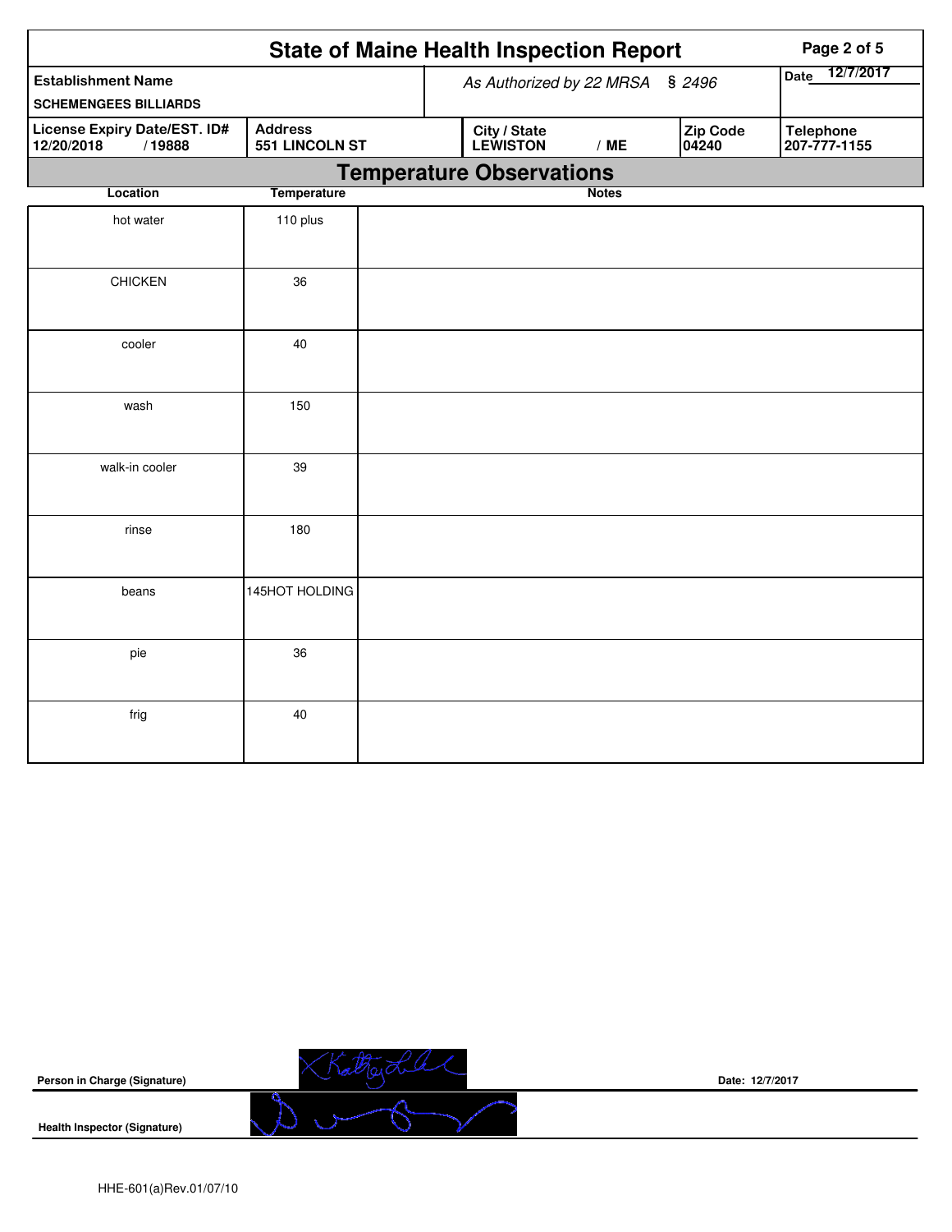| <b>State of Maine Health Inspection Report</b><br>Page 2 of 5                                   |                |                          |                                 |              |                   |                                  |  |  |
|-------------------------------------------------------------------------------------------------|----------------|--------------------------|---------------------------------|--------------|-------------------|----------------------------------|--|--|
| <b>Establishment Name</b>                                                                       |                | As Authorized by 22 MRSA | 12/7/2017<br>Date               |              |                   |                                  |  |  |
| <b>SCHEMENGEES BILLIARDS</b>                                                                    |                |                          |                                 | \$2496       |                   |                                  |  |  |
| <b>License Expiry Date/EST. ID#</b><br><b>Address</b><br>551 LINCOLN ST<br>12/20/2018<br>/19888 |                |                          | City / State<br><b>LEWISTON</b> | /ME          | Zip Code<br>04240 | <b>Telephone</b><br>207-777-1155 |  |  |
|                                                                                                 |                |                          | <b>Temperature Observations</b> |              |                   |                                  |  |  |
| <b>Temperature</b><br>Location                                                                  |                |                          |                                 | <b>Notes</b> |                   |                                  |  |  |
| hot water                                                                                       | 110 plus       |                          |                                 |              |                   |                                  |  |  |
| <b>CHICKEN</b>                                                                                  | 36             |                          |                                 |              |                   |                                  |  |  |
| cooler                                                                                          | 40             |                          |                                 |              |                   |                                  |  |  |
| wash                                                                                            | 150            |                          |                                 |              |                   |                                  |  |  |
| walk-in cooler                                                                                  | 39             |                          |                                 |              |                   |                                  |  |  |
| rinse                                                                                           | 180            |                          |                                 |              |                   |                                  |  |  |
| beans                                                                                           | 145HOT HOLDING |                          |                                 |              |                   |                                  |  |  |
| pie                                                                                             | 36             |                          |                                 |              |                   |                                  |  |  |
| frig                                                                                            | 40             |                          |                                 |              |                   |                                  |  |  |

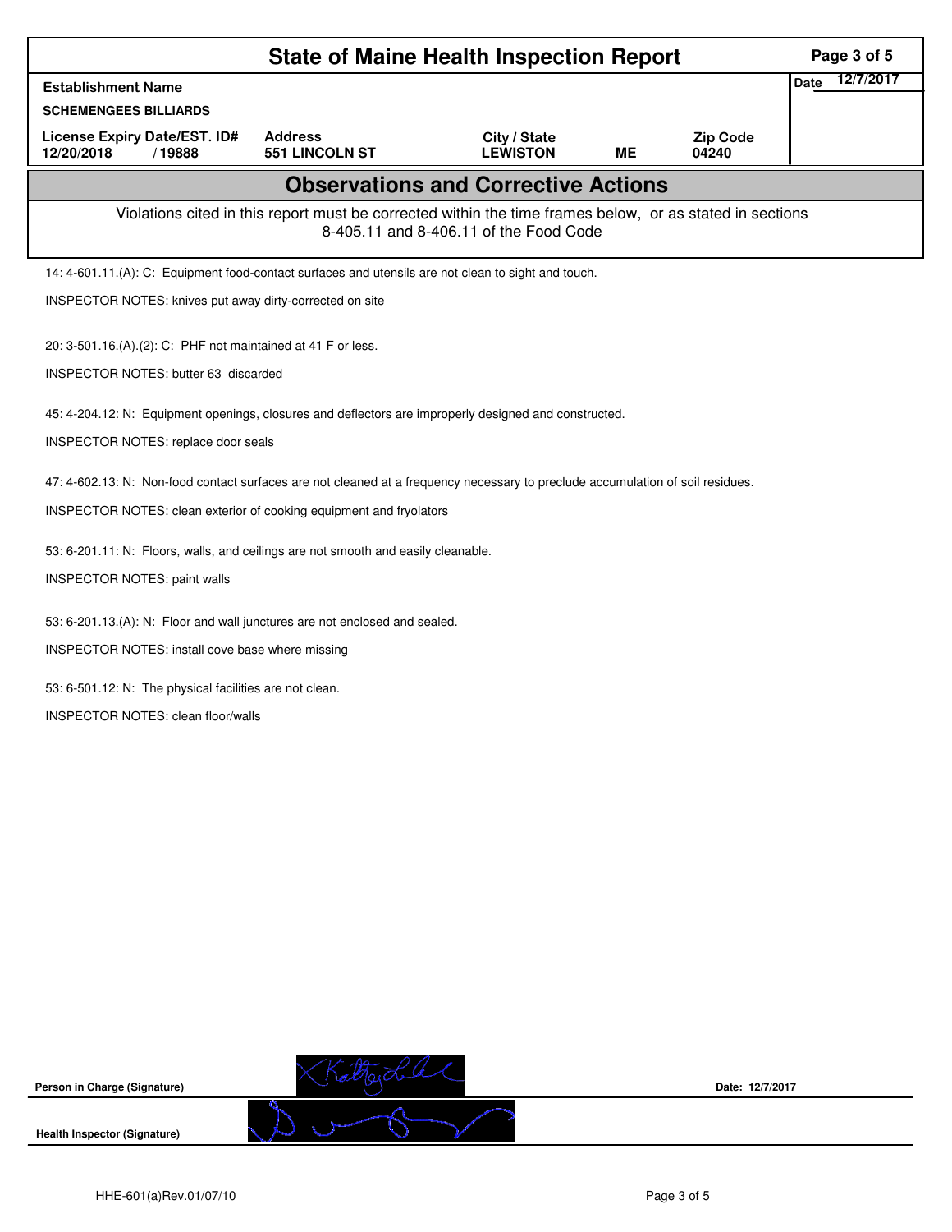| <b>State of Maine Health Inspection Report</b>                                                                                                     |                                 |           |                          |                          |  |  |  |  |  |
|----------------------------------------------------------------------------------------------------------------------------------------------------|---------------------------------|-----------|--------------------------|--------------------------|--|--|--|--|--|
| <b>Establishment Name</b>                                                                                                                          |                                 |           |                          | 12/7/2017<br><b>Date</b> |  |  |  |  |  |
| <b>SCHEMENGEES BILLIARDS</b>                                                                                                                       |                                 |           |                          |                          |  |  |  |  |  |
| <b>Address</b><br>License Expiry Date/EST. ID#<br>551 LINCOLN ST<br>12/20/2018<br>/19888                                                           | City / State<br><b>LEWISTON</b> | <b>ME</b> | <b>Zip Code</b><br>04240 |                          |  |  |  |  |  |
| <b>Observations and Corrective Actions</b>                                                                                                         |                                 |           |                          |                          |  |  |  |  |  |
| Violations cited in this report must be corrected within the time frames below, or as stated in sections<br>8-405.11 and 8-406.11 of the Food Code |                                 |           |                          |                          |  |  |  |  |  |
| 14: 4-601.11.(A): C: Equipment food-contact surfaces and utensils are not clean to sight and touch.                                                |                                 |           |                          |                          |  |  |  |  |  |
| INSPECTOR NOTES: knives put away dirty-corrected on site                                                                                           |                                 |           |                          |                          |  |  |  |  |  |
| 20: 3-501.16.(A).(2): C: PHF not maintained at 41 F or less.                                                                                       |                                 |           |                          |                          |  |  |  |  |  |
| INSPECTOR NOTES: butter 63 discarded                                                                                                               |                                 |           |                          |                          |  |  |  |  |  |
|                                                                                                                                                    |                                 |           |                          |                          |  |  |  |  |  |
| 45: 4-204.12: N: Equipment openings, closures and deflectors are improperly designed and constructed.                                              |                                 |           |                          |                          |  |  |  |  |  |
| INSPECTOR NOTES: replace door seals                                                                                                                |                                 |           |                          |                          |  |  |  |  |  |
| 47: 4-602.13: N: Non-food contact surfaces are not cleaned at a frequency necessary to preclude accumulation of soil residues.                     |                                 |           |                          |                          |  |  |  |  |  |
| INSPECTOR NOTES: clean exterior of cooking equipment and fryolators                                                                                |                                 |           |                          |                          |  |  |  |  |  |
| 53: 6-201.11: N: Floors, walls, and ceilings are not smooth and easily cleanable.                                                                  |                                 |           |                          |                          |  |  |  |  |  |
| <b>INSPECTOR NOTES: paint walls</b>                                                                                                                |                                 |           |                          |                          |  |  |  |  |  |
|                                                                                                                                                    |                                 |           |                          |                          |  |  |  |  |  |
| 53: 6-201.13.(A): N: Floor and wall junctures are not enclosed and sealed.                                                                         |                                 |           |                          |                          |  |  |  |  |  |
| INSPECTOR NOTES: install cove base where missing                                                                                                   |                                 |           |                          |                          |  |  |  |  |  |
| 53: 6-501.12: N: The physical facilities are not clean.                                                                                            |                                 |           |                          |                          |  |  |  |  |  |
| <b>INSPECTOR NOTES: clean floor/walls</b>                                                                                                          |                                 |           |                          |                          |  |  |  |  |  |
|                                                                                                                                                    |                                 |           |                          |                          |  |  |  |  |  |





**Date: 12/7/2017**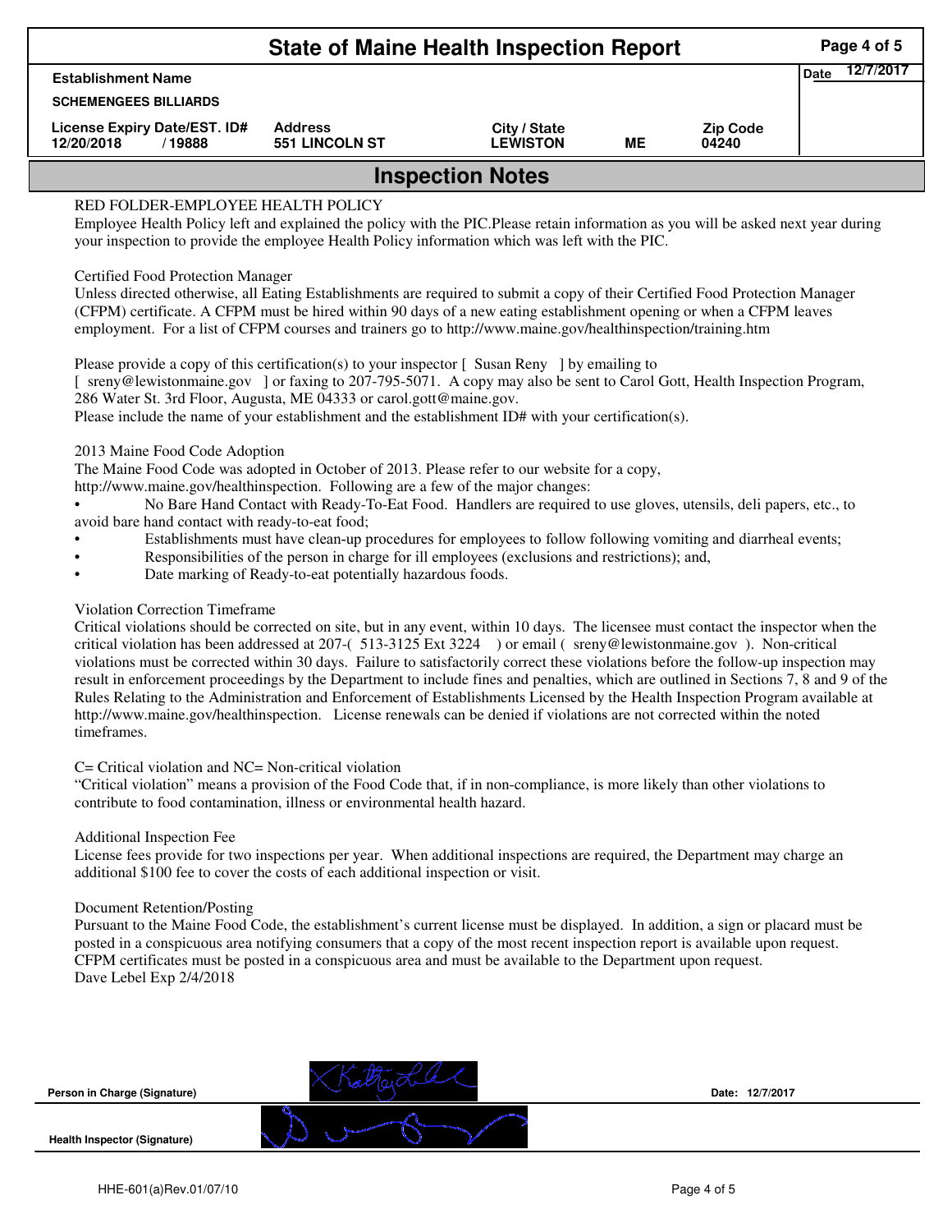|                                                       | Page 4 of 5                             |                                 |    |                          |  |  |  |  |  |
|-------------------------------------------------------|-----------------------------------------|---------------------------------|----|--------------------------|--|--|--|--|--|
| <b>Establishment Name</b>                             | 12/7/2017<br><b>Date</b>                |                                 |    |                          |  |  |  |  |  |
| <b>SCHEMENGEES BILLIARDS</b>                          |                                         |                                 |    |                          |  |  |  |  |  |
| License Expiry Date/EST. ID#<br>12/20/2018<br>/ 19888 | <b>Address</b><br><b>551 LINCOLN ST</b> | City / State<br><b>LEWISTON</b> | ME | <b>Zip Code</b><br>04240 |  |  |  |  |  |
| <b>Inspection Notes</b>                               |                                         |                                 |    |                          |  |  |  |  |  |
| RED FOLDER-EMPLOYEE HEALTH POLICY                     |                                         |                                 |    |                          |  |  |  |  |  |

Employee Health Policy left and explained the policy with the PIC.Please retain information as you will be asked next year during your inspection to provide the employee Health Policy information which was left with the PIC.

## Certified Food Protection Manager

Unless directed otherwise, all Eating Establishments are required to submit a copy of their Certified Food Protection Manager (CFPM) certificate. A CFPM must be hired within 90 days of a new eating establishment opening or when a CFPM leaves employment. For a list of CFPM courses and trainers go to http://www.maine.gov/healthinspection/training.htm

Please provide a copy of this certification(s) to your inspector [Susan Reny ] by emailing to [ sreny@lewistonmaine.gov ] or faxing to 207-795-5071. A copy may also be sent to Carol Gott, Health Inspection Program, 286 Water St. 3rd Floor, Augusta, ME 04333 or carol.gott@maine.gov.

Please include the name of your establishment and the establishment ID# with your certification(s).

2013 Maine Food Code Adoption

The Maine Food Code was adopted in October of 2013. Please refer to our website for a copy,

http://www.maine.gov/healthinspection. Following are a few of the major changes:

• No Bare Hand Contact with Ready-To-Eat Food. Handlers are required to use gloves, utensils, deli papers, etc., to avoid bare hand contact with ready-to-eat food;

- Establishments must have clean-up procedures for employees to follow following vomiting and diarrheal events;
- Responsibilities of the person in charge for ill employees (exclusions and restrictions); and,
- Date marking of Ready-to-eat potentially hazardous foods.

# Violation Correction Timeframe

Critical violations should be corrected on site, but in any event, within 10 days. The licensee must contact the inspector when the critical violation has been addressed at 207-( 513-3125 Ext 3224 ) or email ( sreny@lewistonmaine.gov ). Non-critical violations must be corrected within 30 days. Failure to satisfactorily correct these violations before the follow-up inspection may result in enforcement proceedings by the Department to include fines and penalties, which are outlined in Sections 7, 8 and 9 of the Rules Relating to the Administration and Enforcement of Establishments Licensed by the Health Inspection Program available at http://www.maine.gov/healthinspection. License renewals can be denied if violations are not corrected within the noted timeframes.

## C= Critical violation and NC= Non-critical violation

"Critical violation" means a provision of the Food Code that, if in non-compliance, is more likely than other violations to contribute to food contamination, illness or environmental health hazard.

## Additional Inspection Fee

License fees provide for two inspections per year. When additional inspections are required, the Department may charge an additional \$100 fee to cover the costs of each additional inspection or visit.

## Document Retention/Posting

Pursuant to the Maine Food Code, the establishment's current license must be displayed. In addition, a sign or placard must be posted in a conspicuous area notifying consumers that a copy of the most recent inspection report is available upon request. CFPM certificates must be posted in a conspicuous area and must be available to the Department upon request. Dave Lebel Exp 2/4/2018